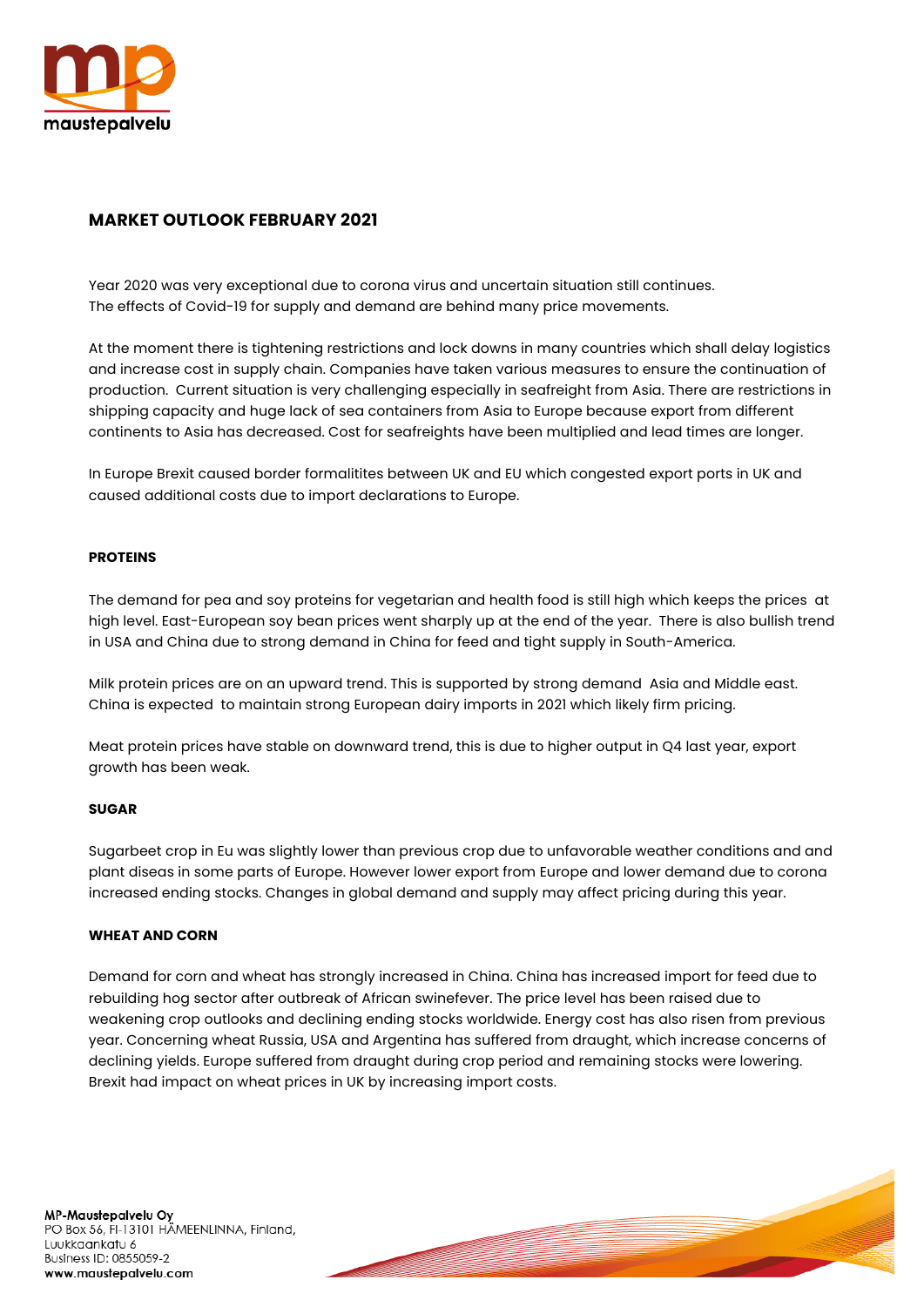

# **MARKET OUTLOOK FEBRUARY 2021**

Year 2020 was very exceptional due to corona virus and uncertain situation still continues. The effects of Covid-19 for supply and demand are behind many price movements.

At the moment there is tightening restrictions and lock downs in many countries which shall delay logistics and increase cost in supply chain. Companies have taken various measures to ensure the continuation of production. Current situation is very challenging especially in seafreight from Asia. There are restrictions in shipping capacity and huge lack of sea containers from Asia to Europe because export from different continents to Asia has decreased. Cost for seafreights have been multiplied and lead times are longer.

In Europe Brexit caused border formalitites between UK and EU which congested export ports in UK and caused additional costs due to import declarations to Europe.

## **PROTEINS**

The demand for pea and soy proteins for vegetarian and health food is still high which keeps the prices at high level. East-European soy bean prices went sharply up at the end of the year. There is also bullish trend in USA and China due to strong demand in China for feed and tight supply in South-America.

Milk protein prices are on an upward trend. This is supported by strong demand Asia and Middle east. China is expected to maintain strong European dairy imports in 2021 which likely firm pricing.

Meat protein prices have stable on downward trend, this is due to higher output in Q4 last year, export growth has been weak.

### **SUGAR**

Sugarbeet crop in Eu was slightly lower than previous crop due to unfavorable weather conditions and and plant diseas in some parts of Europe. However lower export from Europe and lower demand due to corona increased ending stocks. Changes in global demand and supply may affect pricing during this year.

### **WHEAT AND CORN**

Demand for corn and wheat has strongly increased in China. China has increased import for feed due to rebuilding hog sector after outbreak of African swinefever. The price level has been raised due to weakening crop outlooks and declining ending stocks worldwide. Energy cost has also risen from previous year. Concerning wheat Russia, USA and Argentina has suffered from draught, which increase concerns of declining yields. Europe suffered from draught during crop period and remaining stocks were lowering. Brexit had impact on wheat prices in UK by increasing import costs.